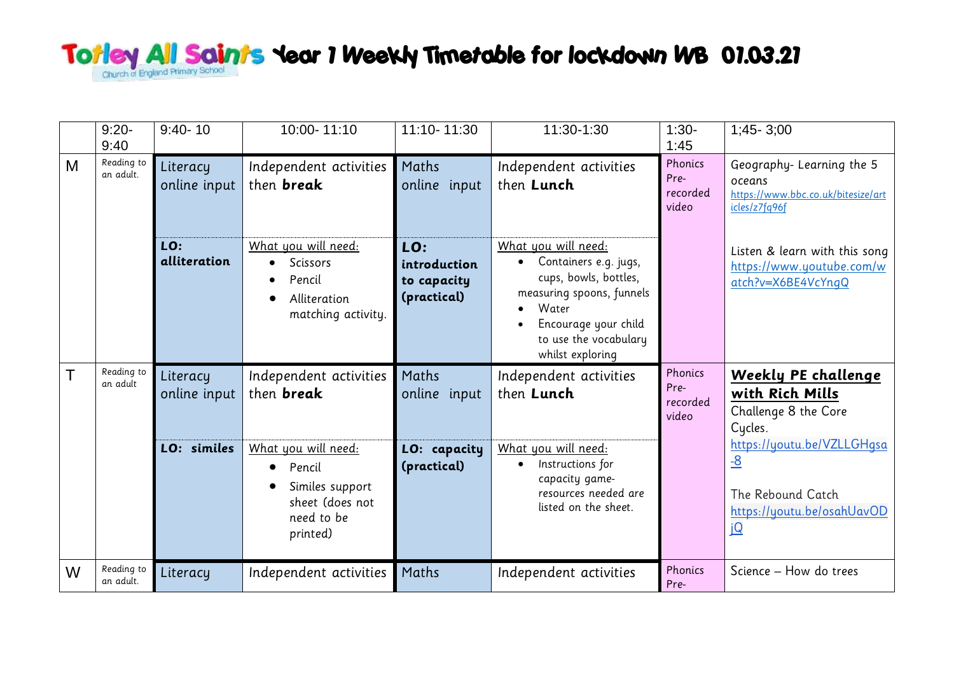## Totley All Saints Year 7 Weekly Timetable for lockdown WB 07.03.21

|   | $9:20-$<br>9:40         | $9:40 - 10$              | 10:00-11:10                                                                                         | 11:10-11:30                                       | 11:30-1:30                                                                                                                                                                       | $1:30-$<br>1:45                      | $1;45 - 3;00$                                                                               |
|---|-------------------------|--------------------------|-----------------------------------------------------------------------------------------------------|---------------------------------------------------|----------------------------------------------------------------------------------------------------------------------------------------------------------------------------------|--------------------------------------|---------------------------------------------------------------------------------------------|
| M | Reading to<br>an adult. | Literacy<br>online input | Independent activities<br>then <b>break</b>                                                         | Maths<br>online input                             | Independent activities<br>then Lunch                                                                                                                                             | Phonics<br>Pre-<br>recorded<br>video | Geography-Learning the 5<br>oceans<br>https://www.bbc.co.uk/bitesize/art<br>icles/z7fq96f   |
|   |                         | LO:<br>alliteration      | What you will need:<br><b>Scissors</b><br>$\bullet$<br>Pencil<br>Alliteration<br>matching activity. | LO:<br>introduction<br>to capacity<br>(practical) | What you will need:<br>Containers e.g. jugs,<br>cups, bowls, bottles,<br>measuring spoons, funnels<br>Water<br>Encourage your child<br>to use the vocabulary<br>whilst exploring |                                      | Listen & learn with this song<br>https://www.youtube.com/w<br>atch?v=X6BE4VcYnqQ            |
|   | Reading to<br>an adult  | Literacy<br>online input | Independent activities<br>then <b>break</b>                                                         | Maths<br>online input                             | Independent activities<br>then Lunch                                                                                                                                             | Phonics<br>Pre-<br>recorded<br>video | <u>Weekly PE challenge</u><br>with Rich Mills<br>Challenge 8 the Core<br>Cycles.            |
|   |                         | LO: similes              | What you will need:<br>Pencil<br>Similes support<br>sheet (does not<br>need to be<br>printed)       | LO: capacity<br>(practical)                       | What you will need:<br>Instructions for<br>capacity game-<br>resources needed are<br>listed on the sheet.                                                                        |                                      | https://youtu.be/VZLLGHqsa<br>$-8$<br>The Rebound Catch<br>https://youtu.be/osahUavOD<br>jQ |
| W | Reading to<br>an adult. | Literacy                 | Independent activities                                                                              | Maths                                             | Independent activities                                                                                                                                                           | Phonics<br>Pre-                      | Science - How do trees                                                                      |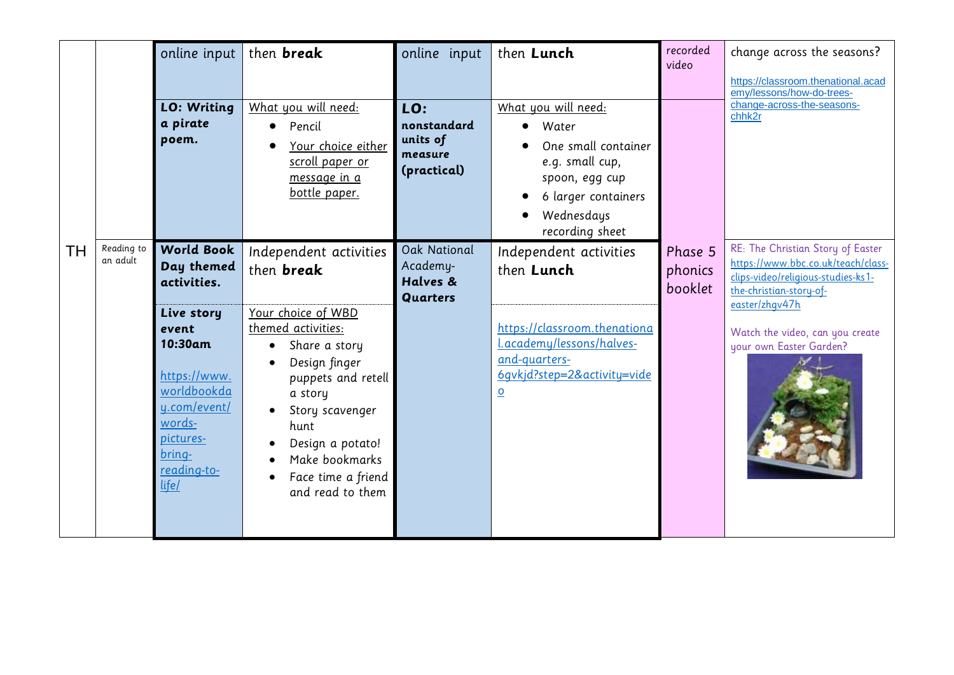|    |                        | online input<br><b>LO: Writing</b><br>a pirate<br>poem.                                                                                                                                  | then <b>break</b><br>What you will need:<br>Pencil<br>Your choice either<br>scroll paper or<br>message in a<br>bottle paper.                                                                                                                                          | online input<br>LO:<br>nonstandard<br>units of<br>measure<br>(practical) | then Lunch<br>What you will need:<br>Water<br>One small container<br>e.g. small cup,<br>spoon, egg cup<br>6 larger containers<br>Wednesdays<br>recording sheet              | recorded<br>video             | change across the seasons?<br>https://classroom.thenational.acad<br>emy/lessons/how-do-trees-<br>change-across-the-seasons-<br>chhk2r                                                                                    |
|----|------------------------|------------------------------------------------------------------------------------------------------------------------------------------------------------------------------------------|-----------------------------------------------------------------------------------------------------------------------------------------------------------------------------------------------------------------------------------------------------------------------|--------------------------------------------------------------------------|-----------------------------------------------------------------------------------------------------------------------------------------------------------------------------|-------------------------------|--------------------------------------------------------------------------------------------------------------------------------------------------------------------------------------------------------------------------|
| TH | Reading to<br>an adult | <b>World Book</b><br>Day themed<br>activities.<br>Live story<br>event<br>10:30am<br>https://www.<br>worldbookda<br>y.com/event/<br>words-<br>pictures-<br>bring-<br>reading-to-<br>life/ | Independent activities<br>then <b>break</b><br>Your choice of WBD<br>themed activities:<br>Share a story<br>Design finger<br>puppets and retell<br>a story<br>Story scavenger<br>hunt<br>Design a potato!<br>Make bookmarks<br>Face time a friend<br>and read to them | Oak National<br>Academy-<br>Halves &<br><b>Quarters</b>                  | Independent activities<br>then Lunch<br>https://classroom.thenationa<br>Lacademy/lessons/halves-<br>and-quarters-<br>6gvkjd?step=2&activity=vide<br>$\overline{\mathbf{0}}$ | Phase 5<br>phonics<br>booklet | RE: The Christian Story of Easter<br>https://www.bbc.co.uk/teach/class-<br>clips-video/religious-studies-ks1-<br>the-christian-story-of-<br>easter/zhqv47h<br>Watch the video, can you create<br>your own Easter Garden? |